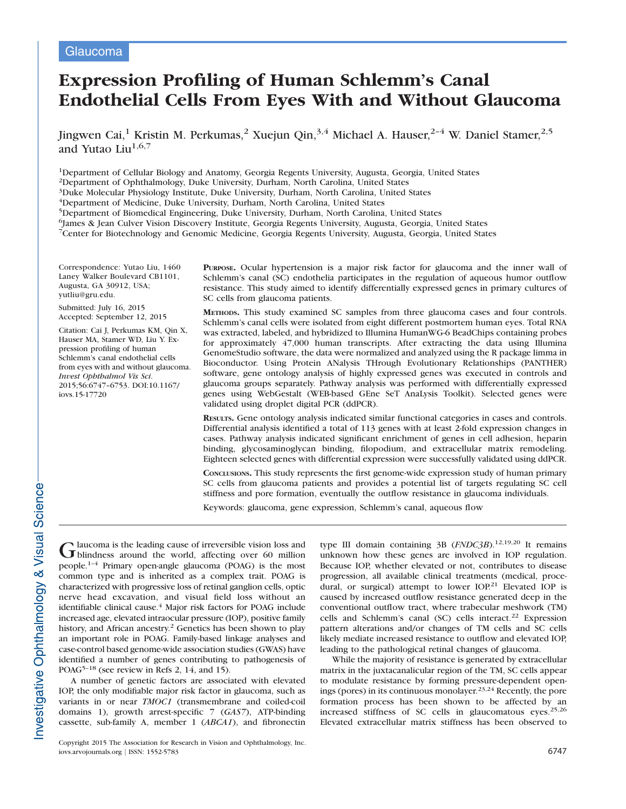# Expression Profiling of Human Schlemm's Canal Endothelial Cells From Eyes With and Without Glaucoma

Jingwen Cai,<sup>1</sup> Kristin M. Perkumas,<sup>2</sup> Xuejun Qin,<sup>3,4</sup> Michael A. Hauser,<sup>2-4</sup> W. Daniel Stamer,<sup>2,5</sup> and Yutao Liu $^{1,6,7}$ 

1Department of Cellular Biology and Anatomy, Georgia Regents University, Augusta, Georgia, United States

2Department of Ophthalmology, Duke University, Durham, North Carolina, United States

3Duke Molecular Physiology Institute, Duke University, Durham, North Carolina, United States

4Department of Medicine, Duke University, Durham, North Carolina, United States

5Department of Biomedical Engineering, Duke University, Durham, North Carolina, United States

6James & Jean Culver Vision Discovery Institute, Georgia Regents University, Augusta, Georgia, United States

7Center for Biotechnology and Genomic Medicine, Georgia Regents University, Augusta, Georgia, United States

Correspondence: Yutao Liu, 1460 Laney Walker Boulevard CB1101, Augusta, GA 30912, USA; yutliu@gru.edu.

Submitted: July 16, 2015 Accepted: September 12, 2015

Citation: Cai J, Perkumas KM, Qin X, Hauser MA, Stamer WD, Liu Y. Expression profiling of human Schlemm's canal endothelial cells from eyes with and without glaucoma. Invest Ophthalmol Vis Sci. 2015;56:6747–6753. DOI:10.1167/ iovs.15-17720

PURPOSE. Ocular hypertension is a major risk factor for glaucoma and the inner wall of Schlemm's canal (SC) endothelia participates in the regulation of aqueous humor outflow resistance. This study aimed to identify differentially expressed genes in primary cultures of SC cells from glaucoma patients.

METHODS. This study examined SC samples from three glaucoma cases and four controls. Schlemm's canal cells were isolated from eight different postmortem human eyes. Total RNA was extracted, labeled, and hybridized to Illumina HumanWG-6 BeadChips containing probes for approximately 47,000 human transcripts. After extracting the data using Illumina GenomeStudio software, the data were normalized and analyzed using the R package limma in Bioconductor. Using Protein ANalysis THrough Evolutionary Relationships (PANTHER) software, gene ontology analysis of highly expressed genes was executed in controls and glaucoma groups separately. Pathway analysis was performed with differentially expressed genes using WebGestalt (WEB-based GEne SeT AnaLysis Toolkit). Selected genes were validated using droplet digital PCR (ddPCR).

RESULTS. Gene ontology analysis indicated similar functional categories in cases and controls. Differential analysis identified a total of 113 genes with at least 2-fold expression changes in cases. Pathway analysis indicated significant enrichment of genes in cell adhesion, heparin binding, glycosaminoglycan binding, filopodium, and extracellular matrix remodeling. Eighteen selected genes with differential expression were successfully validated using ddPCR.

CONCLUSIONS. This study represents the first genome-wide expression study of human primary SC cells from glaucoma patients and provides a potential list of targets regulating SC cell stiffness and pore formation, eventually the outflow resistance in glaucoma individuals.

Keywords: glaucoma, gene expression, Schlemm's canal, aqueous flow

Glaucoma is the leading cause of irreversible vision loss and<br>blindness around the world, affecting over 60 million people.1–4 Primary open-angle glaucoma (POAG) is the most common type and is inherited as a complex trait. POAG is characterized with progressive loss of retinal ganglion cells, optic nerve head excavation, and visual field loss without an identifiable clinical cause.<sup>4</sup> Major risk factors for POAG include increased age, elevated intraocular pressure (IOP), positive family history, and African ancestry.<sup>2</sup> Genetics has been shown to play an important role in POAG. Family-based linkage analyses and case-control based genome-wide association studies (GWAS) have identified a number of genes contributing to pathogenesis of POAG<sup>5-18</sup> (see review in Refs 2, 14, and 15).

A number of genetic factors are associated with elevated IOP, the only modifiable major risk factor in glaucoma, such as variants in or near TMOC1 (transmembrane and coiled-coil domains 1), growth arrest-specific 7 (GAS7), ATP-binding cassette, sub-family A, member 1 (ABCA1), and fibronectin type III domain containing  $3B$  (FNDC3B).<sup>12,19,20</sup> It remains unknown how these genes are involved in IOP regulation. Because IOP, whether elevated or not, contributes to disease progression, all available clinical treatments (medical, procedural, or surgical) attempt to lower IOP.<sup>21</sup> Elevated IOP is caused by increased outflow resistance generated deep in the conventional outflow tract, where trabecular meshwork (TM) cells and Schlemm's canal (SC) cells interact.<sup>22</sup> Expression pattern alterations and/or changes of TM cells and SC cells likely mediate increased resistance to outflow and elevated IOP, leading to the pathological retinal changes of glaucoma.

While the majority of resistance is generated by extracellular matrix in the juxtacanalicular region of the TM, SC cells appear to modulate resistance by forming pressure-dependent openings (pores) in its continuous monolayer.23,24 Recently, the pore formation process has been shown to be affected by an increased stiffness of SC cells in glaucomatous eyes. $25,26$ Elevated extracellular matrix stiffness has been observed to

Copyright 2015 The Association for Research in Vision and Ophthalmology, Inc.  $\frac{1}{100}$  iovs.arvojournals.org | ISSN: 1552-5783 6747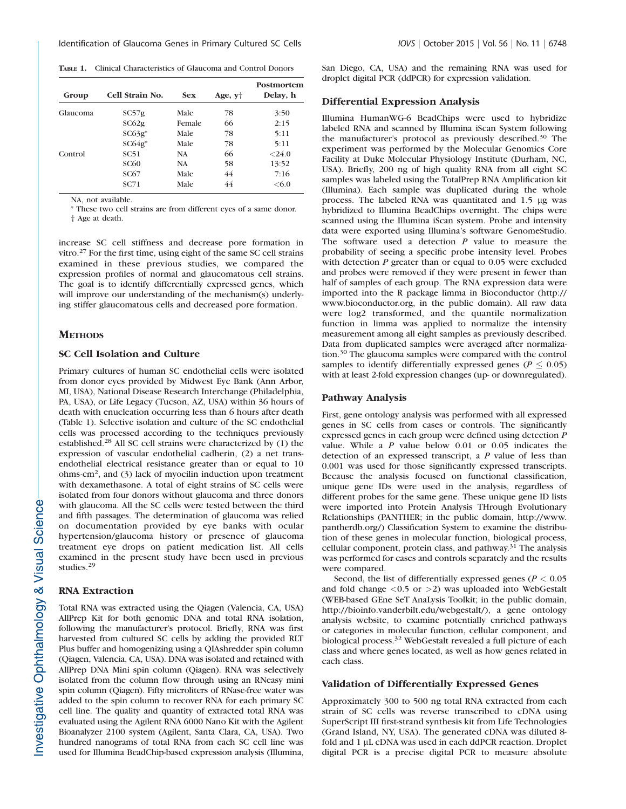| Group    | Cell Strain No. | <b>Sex</b> | Age, $y^+$ | Postmortem<br>Delay, h |
|----------|-----------------|------------|------------|------------------------|
| Glaucoma | SC57g           | Male       | 78         | 3:50                   |
|          | SC62g           | Female     | 66         | 2:15                   |
|          | $SC63g*$        | Male       | 78         | 5:11                   |
|          | $SC64g*$        | Male       | 78         | 5:11                   |
| Control  | SC51            | <b>NA</b>  | 66         | < 24.0                 |
|          | <b>SC60</b>     | NA         | 58         | 13:52                  |
|          | SC67            | Male       | 44         | 7:16                   |
|          | SC71            | Male       | 44         | <6.0                   |

NA, not available.

\* These two cell strains are from different eyes of a same donor. † Age at death.

increase SC cell stiffness and decrease pore formation in vitro.<sup>27</sup> For the first time, using eight of the same SC cell strains examined in these previous studies, we compared the expression profiles of normal and glaucomatous cell strains. The goal is to identify differentially expressed genes, which will improve our understanding of the mechanism(s) underlying stiffer glaucomatous cells and decreased pore formation.

### **METHODS**

## SC Cell Isolation and Culture

Primary cultures of human SC endothelial cells were isolated from donor eyes provided by Midwest Eye Bank (Ann Arbor, MI, USA), National Disease Research Interchange (Philadelphia, PA, USA), or Life Legacy (Tucson, AZ, USA) within 36 hours of death with enucleation occurring less than 6 hours after death (Table 1). Selective isolation and culture of the SC endothelial cells was processed according to the techniques previously established.<sup>28</sup> All SC cell strains were characterized by (1) the expression of vascular endothelial cadherin, (2) a net transendothelial electrical resistance greater than or equal to 10 ohms-cm<sup>2</sup>, and (3) lack of myocilin induction upon treatment with dexamethasone. A total of eight strains of SC cells were isolated from four donors without glaucoma and three donors with glaucoma. All the SC cells were tested between the third and fifth passages. The determination of glaucoma was relied on documentation provided by eye banks with ocular hypertension/glaucoma history or presence of glaucoma treatment eye drops on patient medication list. All cells examined in the present study have been used in previous studies.<sup>29</sup>

## RNA Extraction

Total RNA was extracted using the Qiagen (Valencia, CA, USA) AllPrep Kit for both genomic DNA and total RNA isolation, following the manufacturer's protocol. Briefly, RNA was first harvested from cultured SC cells by adding the provided RLT Plus buffer and homogenizing using a QIAshredder spin column (Qiagen, Valencia, CA, USA). DNA was isolated and retained with AllPrep DNA Mini spin column (Qiagen). RNA was selectively isolated from the column flow through using an RNeasy mini spin column (Qiagen). Fifty microliters of RNase-free water was added to the spin column to recover RNA for each primary SC cell line. The quality and quantity of extracted total RNA was evaluated using the Agilent RNA 6000 Nano Kit with the Agilent Bioanalyzer 2100 system (Agilent, Santa Clara, CA, USA). Two hundred nanograms of total RNA from each SC cell line was used for Illumina BeadChip-based expression analysis (Illumina,

San Diego, CA, USA) and the remaining RNA was used for droplet digital PCR (ddPCR) for expression validation.

#### Differential Expression Analysis

Illumina HumanWG-6 BeadChips were used to hybridize labeled RNA and scanned by Illumina iScan System following the manufacturer's protocol as previously described.<sup>30</sup> The experiment was performed by the Molecular Genomics Core Facility at Duke Molecular Physiology Institute (Durham, NC, USA). Briefly, 200 ng of high quality RNA from all eight SC samples was labeled using the TotalPrep RNA Amplification kit (Illumina). Each sample was duplicated during the whole process. The labeled RNA was quantitated and 1.5 µg was hybridized to Illumina BeadChips overnight. The chips were scanned using the Illumina iScan system. Probe and intensity data were exported using Illumina's software GenomeStudio. The software used a detection  $P$  value to measure the probability of seeing a specific probe intensity level. Probes with detection  $P$  greater than or equal to 0.05 were excluded and probes were removed if they were present in fewer than half of samples of each group. The RNA expression data were imported into the R package limma in Bioconductor (http:// www.bioconductor.org, in the public domain). All raw data were log2 transformed, and the quantile normalization function in limma was applied to normalize the intensity measurement among all eight samples as previously described. Data from duplicated samples were averaged after normalization.<sup>30</sup> The glaucoma samples were compared with the control samples to identify differentially expressed genes ( $P \leq 0.05$ ) with at least 2-fold expression changes (up- or downregulated).

#### Pathway Analysis

First, gene ontology analysis was performed with all expressed genes in SC cells from cases or controls. The significantly expressed genes in each group were defined using detection P value. While a P value below 0.01 or 0.05 indicates the detection of an expressed transcript, a P value of less than 0.001 was used for those significantly expressed transcripts. Because the analysis focused on functional classification, unique gene IDs were used in the analysis, regardless of different probes for the same gene. These unique gene ID lists were imported into Protein Analysis THrough Evolutionary Relationships (PANTHER; in the public domain, http://www. pantherdb.org/) Classification System to examine the distribution of these genes in molecular function, biological process, cellular component, protein class, and pathway.31 The analysis was performed for cases and controls separately and the results were compared.

Second, the list of differentially expressed genes ( $P < 0.05$ ) and fold change  $\langle 0.5 \text{ or } \rangle$  was uploaded into WebGestalt (WEB-based GEne SeT AnaLysis Toolkit; in the public domain, http://bioinfo.vanderbilt.edu/webgestalt/), a gene ontology analysis website, to examine potentially enriched pathways or categories in molecular function, cellular component, and biological process.<sup>32</sup> WebGestalt revealed a full picture of each class and where genes located, as well as how genes related in each class.

## Validation of Differentially Expressed Genes

Approximately 300 to 500 ng total RNA extracted from each strain of SC cells was reverse transcribed to cDNA using SuperScript III first-strand synthesis kit from Life Technologies (Grand Island, NY, USA). The generated cDNA was diluted 8 fold and 1 µL cDNA was used in each ddPCR reaction. Droplet digital PCR is a precise digital PCR to measure absolute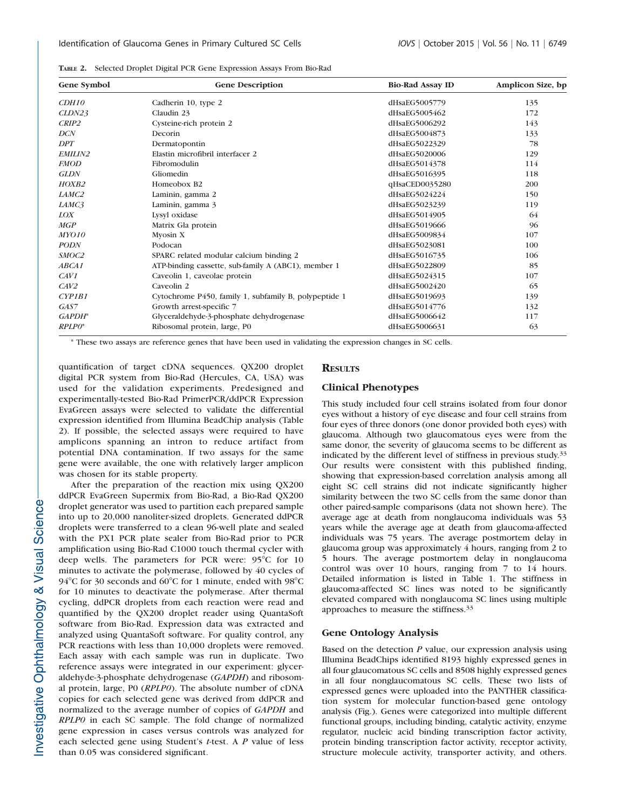| Gene Symbol       | <b>Gene Description</b>                               | <b>Bio-Rad Assay ID</b> | Amplicon Size, bp |  |
|-------------------|-------------------------------------------------------|-------------------------|-------------------|--|
| CDH10             | Cadherin 10, type 2                                   | dHsaEG5005779           | 135               |  |
| CLDN23            | Claudin 23                                            | dHsaEG5005462           | 172               |  |
| CRIP2             | Cysteine-rich protein 2                               | dHsaEG5006292           | 143               |  |
| <b>DCN</b>        | Decorin                                               | dHsaEG5004873           | 133               |  |
| <b>DPT</b>        | Dermatopontin                                         | dHsaEG5022329           | 78                |  |
| <b>EMILIN2</b>    | Elastin microfibril interfacer 2                      | dHsaEG5020006           | 129               |  |
| <b>FMOD</b>       | Fibromodulin                                          | dHsaEG5014378           | 114               |  |
| <b>GLDN</b>       | Gliomedin                                             | dHsaEG5016395           | 118               |  |
| HOXB2             | Homeobox B2                                           | qHsaCED0035280          | 200               |  |
| LAMC <sub>2</sub> | Laminin, gamma 2                                      | dHsaEG5024224           | 150               |  |
| LAMC3             | Laminin, gamma 3                                      | dHsaEG5023239           | 119               |  |
| LOX               | Lysyl oxidase                                         | dHsaEG5014905           | 64                |  |
| MGP               | Matrix Gla protein                                    | dHsaEG5019666           | 96                |  |
| <i>MYO10</i>      | Myosin X                                              | dHsaEG5009834           | 107               |  |
| <b>PODN</b>       | Podocan                                               | dHsaEG5023081           | 100               |  |
| SMOC2             | SPARC related modular calcium binding 2               | dHsaEG5016735           | 106               |  |
| ABCA1             | ATP-binding cassette, sub-family A (ABC1), member 1   | dHsaEG5022809           | 85                |  |
| CAVI              | Caveolin 1, caveolae protein                          | dHsaEG5024315           | 107               |  |
| CAV2              | Caveolin 2                                            | dHsaEG5002420           | 65                |  |
| CYP1B1            | Cytochrome P450, family 1, subfamily B, polypeptide 1 | dHsaEG5019693           | 139               |  |
| GAS7              | Growth arrest-specific 7                              | dHsaEG5014776           | 132               |  |
| <b>GAPDH*</b>     | Glyceraldehyde-3-phosphate dehydrogenase              | dHsaEG5006642           | 117               |  |
| $RPLPO^*$         | Ribosomal protein, large, P0                          | dHsaEG5006631           | 63                |  |

TABLE 2. Selected Droplet Digital PCR Gene Expression Assays From Bio-Rad

\* These two assays are reference genes that have been used in validating the expression changes in SC cells.

quantification of target cDNA sequences. QX200 droplet digital PCR system from Bio-Rad (Hercules, CA, USA) was used for the validation experiments. Predesigned and experimentally-tested Bio-Rad PrimerPCR/ddPCR Expression EvaGreen assays were selected to validate the differential expression identified from Illumina BeadChip analysis (Table 2). If possible, the selected assays were required to have amplicons spanning an intron to reduce artifact from potential DNA contamination. If two assays for the same gene were available, the one with relatively larger amplicon was chosen for its stable property.

After the preparation of the reaction mix using QX200 ddPCR EvaGreen Supermix from Bio-Rad, a Bio-Rad QX200 droplet generator was used to partition each prepared sample into up to 20,000 nanoliter-sized droplets. Generated ddPCR droplets were transferred to a clean 96-well plate and sealed with the PX1 PCR plate sealer from Bio-Rad prior to PCR amplification using Bio-Rad C1000 touch thermal cycler with deep wells. The parameters for PCR were:  $95^{\circ}$ C for 10 minutes to activate the polymerase, followed by 40 cycles of 94°C for 30 seconds and 60°C for 1 minute, ended with 98°C for 10 minutes to deactivate the polymerase. After thermal cycling, ddPCR droplets from each reaction were read and quantified by the QX200 droplet reader using QuantaSoft software from Bio-Rad. Expression data was extracted and analyzed using QuantaSoft software. For quality control, any PCR reactions with less than 10,000 droplets were removed. Each assay with each sample was run in duplicate. Two reference assays were integrated in our experiment: glyceraldehyde-3-phosphate dehydrogenase (GAPDH) and ribosomal protein, large, P0 (RPLP0). The absolute number of cDNA copies for each selected gene was derived from ddPCR and normalized to the average number of copies of GAPDH and RPLP0 in each SC sample. The fold change of normalized gene expression in cases versus controls was analyzed for each selected gene using Student's t-test. A P value of less than 0.05 was considered significant.

## **RESULTS**

## Clinical Phenotypes

This study included four cell strains isolated from four donor eyes without a history of eye disease and four cell strains from four eyes of three donors (one donor provided both eyes) with glaucoma. Although two glaucomatous eyes were from the same donor, the severity of glaucoma seems to be different as indicated by the different level of stiffness in previous study.<sup>33</sup> Our results were consistent with this published finding, showing that expression-based correlation analysis among all eight SC cell strains did not indicate significantly higher similarity between the two SC cells from the same donor than other paired-sample comparisons (data not shown here). The average age at death from nonglaucoma individuals was 53 years while the average age at death from glaucoma-affected individuals was 75 years. The average postmortem delay in glaucoma group was approximately 4 hours, ranging from 2 to 5 hours. The average postmortem delay in nonglaucoma control was over 10 hours, ranging from 7 to 14 hours. Detailed information is listed in Table 1. The stiffness in glaucoma-affected SC lines was noted to be significantly elevated compared with nonglaucoma SC lines using multiple approaches to measure the stiffness.<sup>33</sup>

### Gene Ontology Analysis

Based on the detection  $P$  value, our expression analysis using Illumina BeadChips identified 8193 highly expressed genes in all four glaucomatous SC cells and 8508 highly expressed genes in all four nonglaucomatous SC cells. These two lists of expressed genes were uploaded into the PANTHER classification system for molecular function-based gene ontology analysis (Fig.). Genes were categorized into multiple different functional groups, including binding, catalytic activity, enzyme regulator, nucleic acid binding transcription factor activity, protein binding transcription factor activity, receptor activity, structure molecule activity, transporter activity, and others.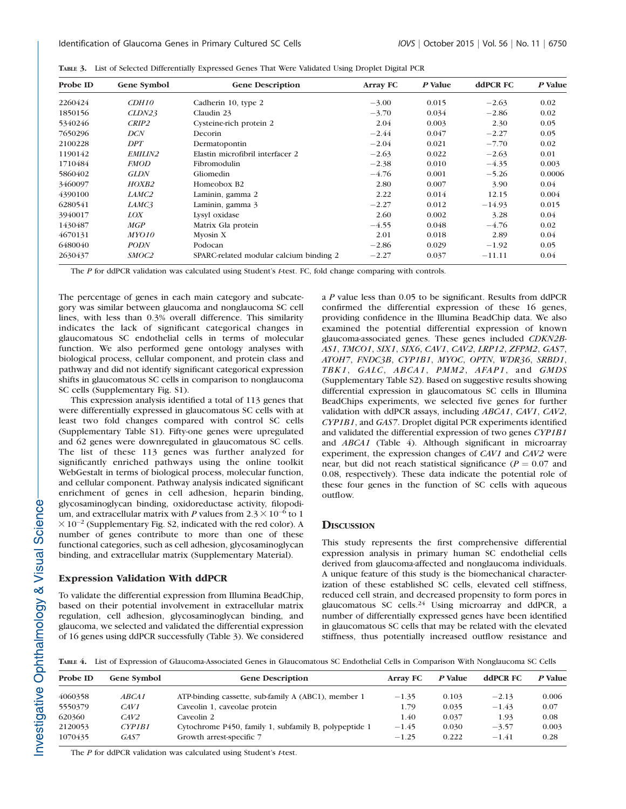| Probe ID | Gene Symbol       | <b>Gene Description</b>                 | <b>Array FC</b> | P Value | ddPCR FC | P Value |
|----------|-------------------|-----------------------------------------|-----------------|---------|----------|---------|
| 2260424  | CDH <sub>10</sub> | Cadherin 10, type 2                     | $-3.00$         | 0.015   | $-2.63$  | 0.02    |
| 1850156  | CLDN23            | Claudin 23                              | $-3.70$         | 0.034   | $-2.86$  | 0.02    |
| 5340246  | CRIP2             | Cysteine-rich protein 2                 | 2.04            | 0.003   | 2.30     | 0.05    |
| 7650296  | DCN               | Decorin                                 | $-2.44$         | 0.047   | $-2.27$  | 0.05    |
| 2100228  | <b>DPT</b>        | Dermatopontin                           | $-2.04$         | 0.021   | $-7.70$  | 0.02    |
| 1190142  | <b>EMILIN2</b>    | Elastin microfibril interfacer 2        | $-2.63$         | 0.022   | $-2.63$  | 0.01    |
| 1710484  | <i>FMOD</i>       | Fibromodulin                            | $-2.38$         | 0.010   | $-4.35$  | 0.003   |
| 5860402  | <b>GLDN</b>       | Gliomedin                               | $-4.76$         | 0.001   | $-5.26$  | 0.0006  |
| 3460097  | HOXB2             | Homeobox B2                             | 2.80            | 0.007   | 3.90     | 0.04    |
| 4390100  | <i>LAMC2</i>      | Laminin, gamma 2                        | 2.22            | 0.014   | 12.15    | 0.004   |
| 6280541  | LAMC3             | Laminin, gamma 3                        | $-2.27$         | 0.012   | $-14.93$ | 0.015   |
| 3940017  | LOX               | Lysyl oxidase                           | 2.60            | 0.002   | 3.28     | 0.04    |
| 1430487  | MGP               | Matrix Gla protein                      | $-4.55$         | 0.048   | $-4.76$  | 0.02    |
| 4670131  | MYO10             | Myosin X                                | 2.01            | 0.018   | 2.89     | 0.04    |
| 6480040  | <b>PODN</b>       | Podocan                                 | $-2.86$         | 0.029   | $-1.92$  | 0.05    |
| 2630437  | SMOC2             | SPARC-related modular calcium binding 2 | $-2.27$         | 0.037   | $-11.11$ | 0.04    |

|  | TABLE 3. List of Selected Differentially Expressed Genes That Were Validated Using Droplet Digital PCR |  |  |  |  |  |  |  |  |  |
|--|--------------------------------------------------------------------------------------------------------|--|--|--|--|--|--|--|--|--|
|--|--------------------------------------------------------------------------------------------------------|--|--|--|--|--|--|--|--|--|

The P for ddPCR validation was calculated using Student's t-test. FC, fold change comparing with controls.

The percentage of genes in each main category and subcategory was similar between glaucoma and nonglaucoma SC cell lines, with less than 0.3% overall difference. This similarity indicates the lack of significant categorical changes in glaucomatous SC endothelial cells in terms of molecular function. We also performed gene ontology analyses with biological process, cellular component, and protein class and pathway and did not identify significant categorical expression shifts in glaucomatous SC cells in comparison to nonglaucoma SC cells (Supplementary Fig. S1).

This expression analysis identified a total of 113 genes that were differentially expressed in glaucomatous SC cells with at least two fold changes compared with control SC cells (Supplementary Table S1). Fifty-one genes were upregulated and 62 genes were downregulated in glaucomatous SC cells. The list of these 113 genes was further analyzed for significantly enriched pathways using the online toolkit WebGestalt in terms of biological process, molecular function, and cellular component. Pathway analysis indicated significant enrichment of genes in cell adhesion, heparin binding, glycosaminoglycan binding, oxidoreductase activity, filopodium, and extracellular matrix with P values from  $2.3 \times 10^{-6}$  to 1  $\times$  10<sup>-2</sup> (Supplementary Fig. S2, indicated with the red color). A number of genes contribute to more than one of these functional categories, such as cell adhesion, glycosaminoglycan binding, and extracellular matrix (Supplementary Material).

## Expression Validation With ddPCR

To validate the differential expression from Illumina BeadChip, based on their potential involvement in extracellular matrix regulation, cell adhesion, glycosaminoglycan binding, and glaucoma, we selected and validated the differential expression of 16 genes using ddPCR successfully (Table 3). We considered a P value less than 0.05 to be significant. Results from ddPCR confirmed the differential expression of these 16 genes, providing confidence in the Illumina BeadChip data. We also examined the potential differential expression of known glaucoma-associated genes. These genes included CDKN2B-AS1, TMCO1, SIX1, SIX6, CAV1, CAV2, LRP12, ZFPM2, GAS7, ATOH7, FNDC3B, CYP1B1, MYOC, OPTN, WDR36, SRBD1, TBK1, GALC, ABCA1, PMM2, AFAP1, and GMDS (Supplementary Table S2). Based on suggestive results showing differential expression in glaucomatous SC cells in Illumina BeadChips experiments, we selected five genes for further validation with ddPCR assays, including ABCA1, CAV1, CAV2, CYP1B1, and GAS7. Droplet digital PCR experiments identified and validated the differential expression of two genes CYP1B1 and ABCA1 (Table 4). Although significant in microarray experiment, the expression changes of CAV1 and CAV2 were near, but did not reach statistical significance ( $P = 0.07$  and 0.08, respectively). These data indicate the potential role of these four genes in the function of SC cells with aqueous outflow.

## **DISCUSSION**

This study represents the first comprehensive differential expression analysis in primary human SC endothelial cells derived from glaucoma-affected and nonglaucoma individuals. A unique feature of this study is the biomechanical characterization of these established SC cells, elevated cell stiffness, reduced cell strain, and decreased propensity to form pores in glaucomatous SC cells.<sup>24</sup> Using microarray and ddPCR, a number of differentially expressed genes have been identified in glaucomatous SC cells that may be related with the elevated stiffness, thus potentially increased outflow resistance and

TABLE 4. List of Expression of Glaucoma-Associated Genes in Glaucomatous SC Endothelial Cells in Comparison With Nonglaucoma SC Cells

| Probe ID | Gene Symbol      | <b>Gene Description</b>                               | <b>Array FC</b> | P Value | ddPCR FC | P Value |  |
|----------|------------------|-------------------------------------------------------|-----------------|---------|----------|---------|--|
| 4060358  | ABCA1            | ATP-binding cassette, sub-family A (ABC1), member 1   | $-1.35$         | 0.103   | $-2.13$  | 0.006   |  |
| 5550379  | CAVI             | Caveolin 1, caveolae protein                          | 1.79            | 0.035   | $-1.43$  | 0.07    |  |
| 620360   | CAV <sub>2</sub> | Caveolin 2                                            | 1.40            | 0.037   | 1.93     | 0.08    |  |
| 2120053  | CYP1B1           | Cytochrome P450, family 1, subfamily B, polypeptide 1 | $-1.45$         | 0.030   | $-3.57$  | 0.003   |  |
| 1070435  | GAS7             | Growth arrest-specific 7                              | $-1.25$         | 0.222   | $-1.41$  | 0.28    |  |

The  $P$  for ddPCR validation was calculated using Student's  $t$ -test.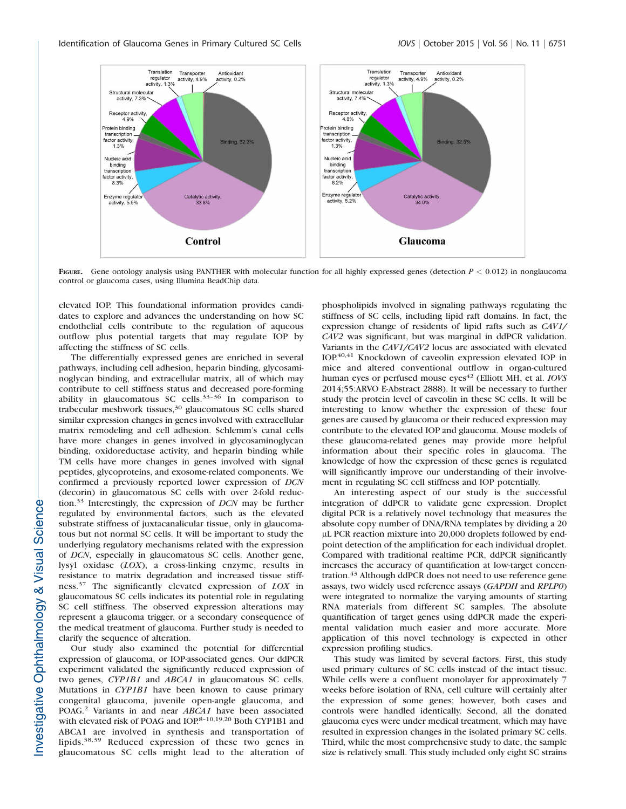

FIGURE. Gene ontology analysis using PANTHER with molecular function for all highly expressed genes (detection  $P < 0.012$ ) in nonglaucoma control or glaucoma cases, using Illumina BeadChip data.

elevated IOP. This foundational information provides candidates to explore and advances the understanding on how SC endothelial cells contribute to the regulation of aqueous outflow plus potential targets that may regulate IOP by affecting the stiffness of SC cells.

The differentially expressed genes are enriched in several pathways, including cell adhesion, heparin binding, glycosaminoglycan binding, and extracellular matrix, all of which may contribute to cell stiffness status and decreased pore-forming ability in glaucomatous SC cells. $33-36$  In comparison to trabecular meshwork tissues,<sup>30</sup> glaucomatous SC cells shared similar expression changes in genes involved with extracellular matrix remodeling and cell adhesion. Schlemm's canal cells have more changes in genes involved in glycosaminoglycan binding, oxidoreductase activity, and heparin binding while TM cells have more changes in genes involved with signal peptides, glycoproteins, and exosome-related components. We confirmed a previously reported lower expression of DCN (decorin) in glaucomatous SC cells with over 2-fold reduction.<sup>33</sup> Interestingly, the expression of DCN may be further regulated by environmental factors, such as the elevated substrate stiffness of juxtacanalicular tissue, only in glaucomatous but not normal SC cells. It will be important to study the underlying regulatory mechanisms related with the expression of DCN, especially in glaucomatous SC cells. Another gene, lysyl oxidase (LOX), a cross-linking enzyme, results in resistance to matrix degradation and increased tissue stiffness.<sup>37</sup> The significantly elevated expression of LOX in glaucomatous SC cells indicates its potential role in regulating SC cell stiffness. The observed expression alterations may represent a glaucoma trigger, or a secondary consequence of the medical treatment of glaucoma. Further study is needed to clarify the sequence of alteration.

Our study also examined the potential for differential expression of glaucoma, or IOP-associated genes. Our ddPCR experiment validated the significantly reduced expression of two genes, CYP1B1 and ABCA1 in glaucomatous SC cells. Mutations in CYP1B1 have been known to cause primary congenital glaucoma, juvenile open-angle glaucoma, and POAG.<sup>2</sup> Variants in and near ABCA1 have been associated with elevated risk of POAG and IOP.8–10,19,20 Both CYP1B1 and ABCA1 are involved in synthesis and transportation of lipids.38,39 Reduced expression of these two genes in glaucomatous SC cells might lead to the alteration of phospholipids involved in signaling pathways regulating the stiffness of SC cells, including lipid raft domains. In fact, the expression change of residents of lipid rafts such as CAV1/ CAV2 was significant, but was marginal in ddPCR validation. Variants in the CAV1/CAV2 locus are associated with elevated IOP.40,41 Knockdown of caveolin expression elevated IOP in mice and altered conventional outflow in organ-cultured human eyes or perfused mouse eyes<sup>42</sup> (Elliott MH, et al. IOVS) 2014;55:ARVO E-Abstract 2888). It will be necessary to further study the protein level of caveolin in these SC cells. It will be interesting to know whether the expression of these four genes are caused by glaucoma or their reduced expression may contribute to the elevated IOP and glaucoma. Mouse models of these glaucoma-related genes may provide more helpful information about their specific roles in glaucoma. The knowledge of how the expression of these genes is regulated will significantly improve our understanding of their involvement in regulating SC cell stiffness and IOP potentially.

An interesting aspect of our study is the successful integration of ddPCR to validate gene expression. Droplet digital PCR is a relatively novel technology that measures the absolute copy number of DNA/RNA templates by dividing a 20 µL PCR reaction mixture into 20,000 droplets followed by endpoint detection of the amplification for each individual droplet. Compared with traditional realtime PCR, ddPCR significantly increases the accuracy of quantification at low-target concentration.<sup>43</sup> Although ddPCR does not need to use reference gene assays, two widely used reference assays (GAPDH and RPLP0) were integrated to normalize the varying amounts of starting RNA materials from different SC samples. The absolute quantification of target genes using ddPCR made the experimental validation much easier and more accurate. More application of this novel technology is expected in other expression profiling studies.

This study was limited by several factors. First, this study used primary cultures of SC cells instead of the intact tissue. While cells were a confluent monolayer for approximately 7 weeks before isolation of RNA, cell culture will certainly alter the expression of some genes; however, both cases and controls were handled identically. Second, all the donated glaucoma eyes were under medical treatment, which may have resulted in expression changes in the isolated primary SC cells. Third, while the most comprehensive study to date, the sample size is relatively small. This study included only eight SC strains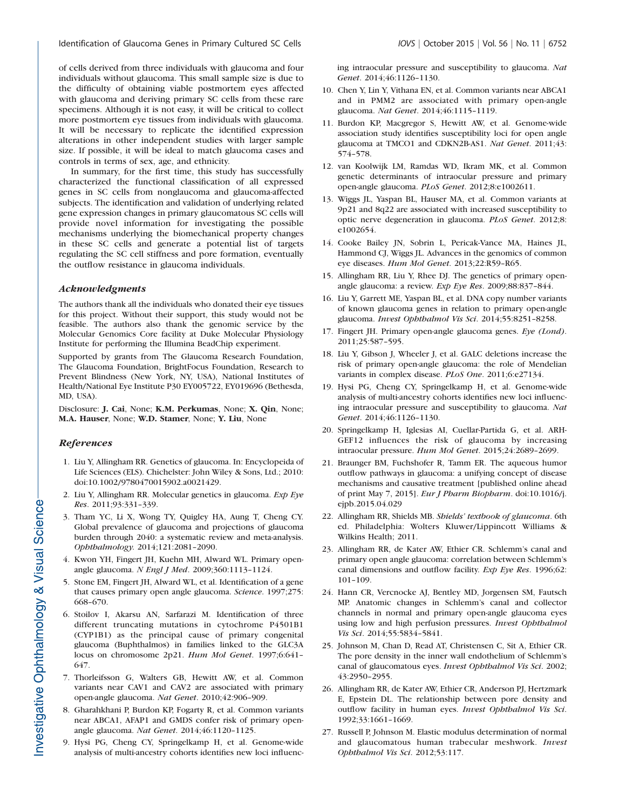of cells derived from three individuals with glaucoma and four individuals without glaucoma. This small sample size is due to the difficulty of obtaining viable postmortem eyes affected with glaucoma and deriving primary SC cells from these rare specimens. Although it is not easy, it will be critical to collect more postmortem eye tissues from individuals with glaucoma. It will be necessary to replicate the identified expression alterations in other independent studies with larger sample size. If possible, it will be ideal to match glaucoma cases and controls in terms of sex, age, and ethnicity.

In summary, for the first time, this study has successfully characterized the functional classification of all expressed genes in SC cells from nonglaucoma and glaucoma-affected subjects. The identification and validation of underlying related gene expression changes in primary glaucomatous SC cells will provide novel information for investigating the possible mechanisms underlying the biomechanical property changes in these SC cells and generate a potential list of targets regulating the SC cell stiffness and pore formation, eventually the outflow resistance in glaucoma individuals.

## Acknowledgments

The authors thank all the individuals who donated their eye tissues for this project. Without their support, this study would not be feasible. The authors also thank the genomic service by the Molecular Genomics Core facility at Duke Molecular Physiology Institute for performing the Illumina BeadChip experiment.

Supported by grants from The Glaucoma Research Foundation, The Glaucoma Foundation, BrightFocus Foundation, Research to Prevent Blindness (New York, NY, USA), National Institutes of Health/National Eye Institute P30 EY005722, EY019696 (Bethesda, MD, USA).

Disclosure: J. Cai, None; K.M. Perkumas, None; X. Qin, None; M.A. Hauser, None; W.D. Stamer, None; Y. Liu, None

#### References

- 1. Liu Y, Allingham RR. Genetics of glaucoma. In: Encyclopeida of Life Sciences (ELS). Chichelster: John Wiley & Sons, Ltd.; 2010: doi:10.1002/9780470015902.a0021429.
- 2. Liu Y, Allingham RR. Molecular genetics in glaucoma. Exp Eye Res. 2011;93:331–339.
- 3. Tham YC, Li X, Wong TY, Quigley HA, Aung T, Cheng CY. Global prevalence of glaucoma and projections of glaucoma burden through 2040: a systematic review and meta-analysis. Ophthalmology. 2014;121:2081–2090.
- 4. Kwon YH, Fingert JH, Kuehn MH, Alward WL. Primary openangle glaucoma. N Engl J Med. 2009;360:1113–1124.
- 5. Stone EM, Fingert JH, Alward WL, et al. Identification of a gene that causes primary open angle glaucoma. Science. 1997;275: 668–670.
- 6. Stoilov I, Akarsu AN, Sarfarazi M. Identification of three different truncating mutations in cytochrome P4501B1 (CYP1B1) as the principal cause of primary congenital glaucoma (Buphthalmos) in families linked to the GLC3A locus on chromosome 2p21. Hum Mol Genet. 1997;6:641– 647.
- 7. Thorleifsson G, Walters GB, Hewitt AW, et al. Common variants near CAV1 and CAV2 are associated with primary open-angle glaucoma. Nat Genet. 2010;42:906–909.
- 8. Gharahkhani P, Burdon KP, Fogarty R, et al. Common variants near ABCA1, AFAP1 and GMDS confer risk of primary openangle glaucoma. Nat Genet. 2014;46:1120–1125.
- 9. Hysi PG, Cheng CY, Springelkamp H, et al. Genome-wide analysis of multi-ancestry cohorts identifies new loci influenc-

ing intraocular pressure and susceptibility to glaucoma. Nat Genet. 2014;46:1126–1130.

- 10. Chen Y, Lin Y, Vithana EN, et al. Common variants near ABCA1 and in PMM2 are associated with primary open-angle glaucoma. Nat Genet. 2014;46:1115–1119.
- 11. Burdon KP, Macgregor S, Hewitt AW, et al. Genome-wide association study identifies susceptibility loci for open angle glaucoma at TMCO1 and CDKN2B-AS1. Nat Genet. 2011;43: 574–578.
- 12. van Koolwijk LM, Ramdas WD, Ikram MK, et al. Common genetic determinants of intraocular pressure and primary open-angle glaucoma. PLoS Genet. 2012;8:e1002611.
- 13. Wiggs JL, Yaspan BL, Hauser MA, et al. Common variants at 9p21 and 8q22 are associated with increased susceptibility to optic nerve degeneration in glaucoma. PLoS Genet. 2012;8: e1002654.
- 14. Cooke Bailey JN, Sobrin L, Pericak-Vance MA, Haines JL, Hammond CJ, Wiggs JL. Advances in the genomics of common eye diseases. Hum Mol Genet. 2013;22:R59–R65.
- 15. Allingham RR, Liu Y, Rhee DJ. The genetics of primary openangle glaucoma: a review. Exp Eye Res. 2009;88:837–844.
- 16. Liu Y, Garrett ME, Yaspan BL, et al. DNA copy number variants of known glaucoma genes in relation to primary open-angle glaucoma. Invest Ophthalmol Vis Sci. 2014;55:8251–8258.
- 17. Fingert JH. Primary open-angle glaucoma genes. Eye (Lond). 2011;25:587–595.
- 18. Liu Y, Gibson J, Wheeler J, et al. GALC deletions increase the risk of primary open-angle glaucoma: the role of Mendelian variants in complex disease. PLoS One. 2011;6:e27134.
- 19. Hysi PG, Cheng CY, Springelkamp H, et al. Genome-wide analysis of multi-ancestry cohorts identifies new loci influencing intraocular pressure and susceptibility to glaucoma. Nat Genet. 2014;46:1126–1130.
- 20. Springelkamp H, Iglesias AI, Cuellar-Partida G, et al. ARH-GEF12 influences the risk of glaucoma by increasing intraocular pressure. Hum Mol Genet. 2015;24:2689–2699.
- 21. Braunger BM, Fuchshofer R, Tamm ER. The aqueous humor outflow pathways in glaucoma: a unifying concept of disease mechanisms and causative treatment [published online ahead of print May 7, 2015]. Eur J Pharm Biopharm. doi:10.1016/j. ejpb.2015.04.029
- 22. Allingham RR, Shields MB. Shields' textbook of glaucoma. 6th ed. Philadelphia: Wolters Kluwer/Lippincott Williams & Wilkins Health; 2011.
- 23. Allingham RR, de Kater AW, Ethier CR. Schlemm's canal and primary open angle glaucoma: correlation between Schlemm's canal dimensions and outflow facility. Exp Eye Res. 1996;62: 101–109.
- 24. Hann CR, Vercnocke AJ, Bentley MD, Jorgensen SM, Fautsch MP. Anatomic changes in Schlemm's canal and collector channels in normal and primary open-angle glaucoma eyes using low and high perfusion pressures. Invest Ophthalmol Vis Sci. 2014;55:5834–5841.
- 25. Johnson M, Chan D, Read AT, Christensen C, Sit A, Ethier CR. The pore density in the inner wall endothelium of Schlemm's canal of glaucomatous eyes. Invest Ophthalmol Vis Sci. 2002; 43:2950–2955.
- 26. Allingham RR, de Kater AW, Ethier CR, Anderson PJ, Hertzmark E, Epstein DL. The relationship between pore density and outflow facility in human eyes. Invest Ophthalmol Vis Sci. 1992;33:1661–1669.
- 27. Russell P, Johnson M. Elastic modulus determination of normal and glaucomatous human trabecular meshwork. Invest Ophthalmol Vis Sci. 2012;53:117.